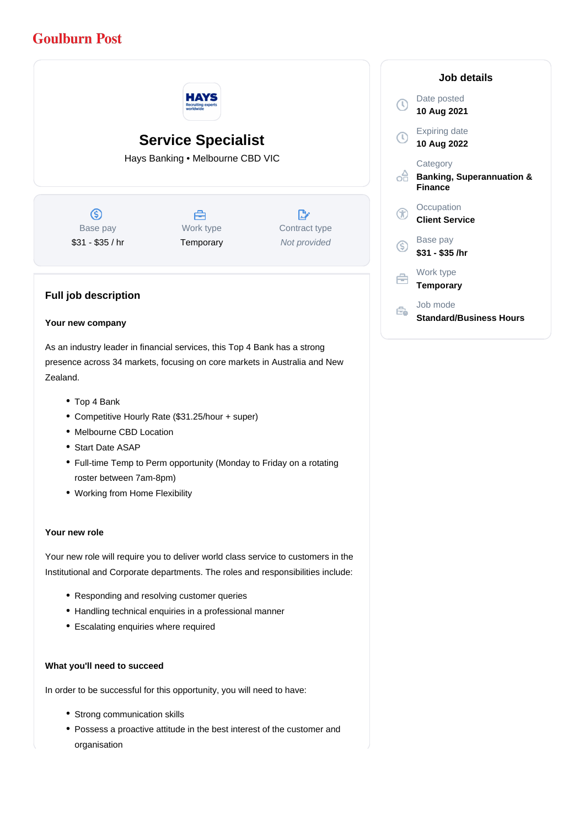# **Goulburn Post**



Top 4 Bank

Zealand.

- Competitive Hourly Rate (\$31.25/hour + super)
- Melbourne CBD Location
- Start Date ASAP
- Full-time Temp to Perm opportunity (Monday to Friday on a rotating roster between 7am-8pm)
- Working from Home Flexibility

#### **Your new role**

Your new role will require you to deliver world class service to customers in the Institutional and Corporate departments. The roles and responsibilities include:

- Responding and resolving customer queries
- Handling technical enquiries in a professional manner
- Escalating enquiries where required

#### **What you'll need to succeed**

In order to be successful for this opportunity, you will need to have:

- Strong communication skills
- Possess a proactive attitude in the best interest of the customer and organisation

## **Job details** Date posted Œ **10 Aug 2021** Expiring date **10 Aug 2022 Category** ofi **Banking, Superannuation & Finance Occupation** Æ **Client Service** Base pay <sub>(S)</sub> **\$31 - \$35 /hr** Work type e **Temporary** Job mode Ê. **Standard/Business Hours**